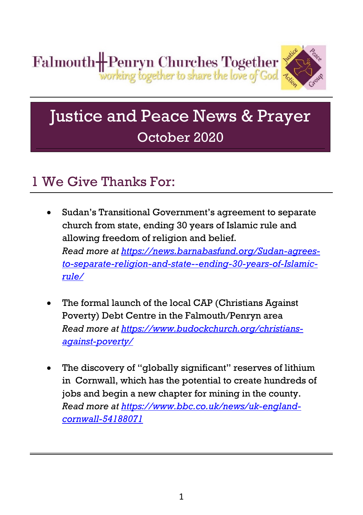

# Justice and Peace News & Prayer October 2020

### 1 We Give Thanks For:

- Sudan's Transitional Government's agreement to separate church from state, ending 30 years of Islamic rule and allowing freedom of religion and belief. *Read more at [https://news.barnabasfund.org/Sudan-agrees](https://news.barnabasfund.org/Sudan-agrees-to-separate-religion-and-state--ending-30-years-of-Islamic-rule/)[to-separate-religion-and-state--ending-30-years-of-Islamic](https://news.barnabasfund.org/Sudan-agrees-to-separate-religion-and-state--ending-30-years-of-Islamic-rule/)[rule/](https://news.barnabasfund.org/Sudan-agrees-to-separate-religion-and-state--ending-30-years-of-Islamic-rule/)*
- The formal launch of the local CAP (Christians Against) Poverty) Debt Centre in the Falmouth/Penryn area *Read more at [https://www.budockchurch.org/christians](https://www.budockchurch.org/christians-against-poverty/)[against-poverty/](https://www.budockchurch.org/christians-against-poverty/)*
- The discovery of "globally significant" reserves of lithium in Cornwall, which has the potential to create hundreds of jobs and begin a new chapter for mining in the county. *Read more at [https://www.bbc.co.uk/news/uk-england](https://www.bbc.co.uk/news/uk-england-cornwall-54188071)[cornwall-54188071](https://www.bbc.co.uk/news/uk-england-cornwall-54188071)*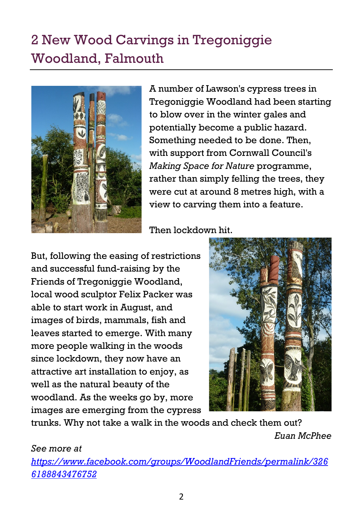## 2 New Wood Carvings in Tregoniggie Woodland, Falmouth



A number of Lawson's cypress trees in Tregoniggie Woodland had been starting to blow over in the winter gales and potentially become a public hazard. Something needed to be done. Then, with support from Cornwall Council's *Making Space for Nature* programme, rather than simply felling the trees, they were cut at around 8 metres high, with a view to carving them into a feature.

Then lockdown hit.

But, following the easing of restrictions and successful fund-raising by the Friends of Tregoniggie Woodland, local wood sculptor Felix Packer was able to start work in August, and images of birds, mammals, fish and leaves started to emerge. With many more people walking in the woods since lockdown, they now have an attractive art installation to enjoy, as well as the natural beauty of the woodland. As the weeks go by, more images are emerging from the cypress



trunks. Why not take a walk in the woods and check them out?

*Euan McPhee*

*See more at* 

*[https://www.facebook.com/groups/WoodlandFriends/permalink/326](https://www.facebook.com/groups/WoodlandFriends/permalink/3266188843476752) [6188843476752](https://www.facebook.com/groups/WoodlandFriends/permalink/3266188843476752)*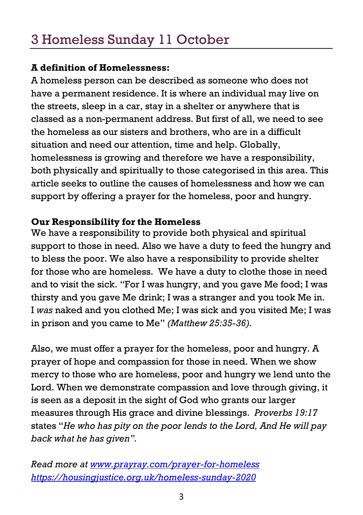## 3 Homeless Sunday 11 October

### **A definition of Homelessness:**

A homeless person can be described as someone who does not have a permanent residence. It is where an individual may live on the streets, sleep in a car, stay in a shelter or anywhere that is classed as a non-permanent address. But first of all, we need to see the homeless as our sisters and brothers, who are in a difficult situation and need our attention, time and help. Globally, homelessness is growing and therefore we have a responsibility, both physically and spiritually to those categorised in this area. This article seeks to outline the causes of homelessness and how we can support by offering a prayer for the homeless, poor and hungry.

### **Our Responsibility for the Homeless**

We have a responsibility to provide both physical and spiritual support to those in need. Also we have a duty to feed the hungry and to bless the poor. We also have a responsibility to provide shelter for those who are homeless. We have a duty to clothe those in need and to visit the sick. "For I was hungry, and you gave Me food; I was thirsty and you gave Me drink; I was a stranger and you took Me in. I *was* naked and you clothed Me; I was sick and you visited Me; I was in prison and you came to Me" *(Matthew 25:35-36).*

Also, we must offer a prayer for the homeless, poor and hungry. A prayer of hope and compassion for those in need. When we show mercy to those who are homeless, poor and hungry we lend unto the Lord. When we demonstrate compassion and love through giving, it is seen as a deposit in the sight of God who grants our larger measures through His grace and divine blessings. *Proverbs 19:17* states "*He who has pity on the poor lends to the Lord, And He will pay back what he has given".*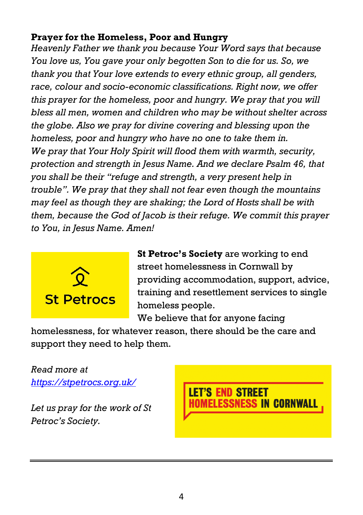### **Prayer for the Homeless, Poor and Hungry**

*Heavenly Father we thank you because Your Word says that because You love us, You gave your only begotten Son to die for us. So, we thank you that Your love extends to every ethnic group, all genders, race, colour and socio-economic classifications. Right now, we offer this prayer for the homeless, poor and hungry. We pray that you will bless all men, women and children who may be without shelter across the globe. Also we pray for divine covering and blessing upon the homeless, poor and hungry who have no one to take them in. We pray that Your Holy Spirit will flood them with warmth, security, protection and strength in Jesus Name. And we declare Psalm 46, that you shall be their "refuge and strength, a very present help in trouble". We pray that they shall not fear even though the mountains may feel as though they are shaking; the Lord of Hosts shall be with them, because the God of Jacob is their refuge. We commit this prayer to You, in Jesus Name. Amen!*



**St Petroc's Society** are working to end street homelessness in Cornwall by providing accommodation, support, advice, training and resettlement services to single homeless people.

We believe that for anyone facing

homelessness, for whatever reason, there should be the care and support they need to help them.

*Read more at <https://stpetrocs.org.uk/>*

*Let us pray for the work of St Petroc's Society.*

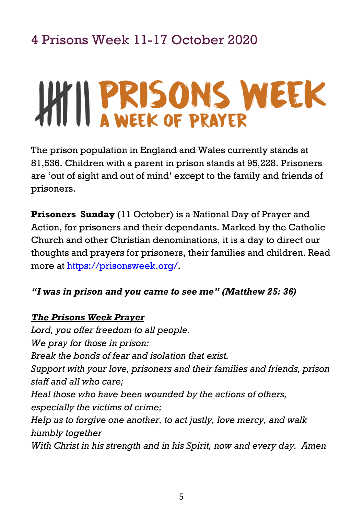# HILL PRISONS WEEK

The prison population in England and Wales currently stands at 81,536. Children with a parent in prison stands at 95,228. Prisoners are 'out of sight and out of mind' except to the family and friends of prisoners.

**Prisoners Sunday** (11 October) is a National Day of Prayer and Action, for prisoners and their dependants. Marked by the Catholic Church and other Christian denominations, it is a day to direct our thoughts and prayers for prisoners, their families and children. Read more at [https://prisonsweek.org/.](https://prisonsweek.org/)

### *"I was in prison and you came to see me" (Matthew 25: 36)*

### *The Prisons Week Prayer*

*Lord, you offer freedom to all people. We pray for those in prison: Break the bonds of fear and isolation that exist. Support with your love, prisoners and their families and friends, prison staff and all who care; Heal those who have been wounded by the actions of others, especially the victims of crime; Help us to forgive one another, to act justly, love mercy, and walk humbly together With Christ in his strength and in his Spirit, now and every day. Amen*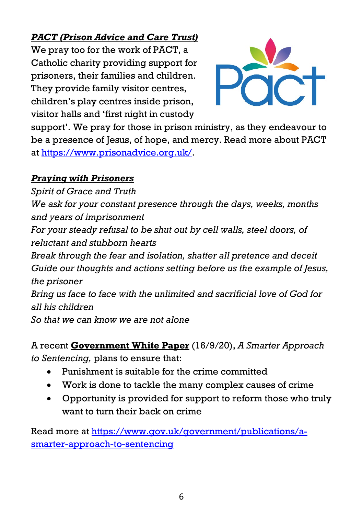### *PACT (Prison Advice and Care Trust)*

We pray too for the work of PACT, a Catholic charity providing support for prisoners, their families and children. They provide family visitor centres, children's play centres inside prison, visitor halls and 'first night in custody



support'. We pray for those in prison ministry, as they endeavour to be a presence of Jesus, of hope, and mercy. Read more about PACT at [https://www.prisonadvice.org.uk/.](https://www.prisonadvice.org.uk/)

### *Praying with Prisoners*

*Spirit of Grace and Truth We ask for your constant presence through the days, weeks, months and years of imprisonment For your steady refusal to be shut out by cell walls, steel doors, of reluctant and stubborn hearts Break through the fear and isolation, shatter all pretence and deceit Guide our thoughts and actions setting before us the example of Jesus, the prisoner Bring us face to face with the unlimited and sacrificial love of God for all his children So that we can know we are not alone*

A recent **Government White Paper** (16/9/20), *A Smarter Approach to Sentencing,* plans to ensure that:

- Punishment is suitable for the crime committed
- Work is done to tackle the many complex causes of crime
- Opportunity is provided for support to reform those who truly want to turn their back on crime

Read more at [https://www.gov.uk/government/publications/a](https://www.gov.uk/government/publications/a-smarter-approach-to-sentencing)[smarter-approach-to-sentencing](https://www.gov.uk/government/publications/a-smarter-approach-to-sentencing)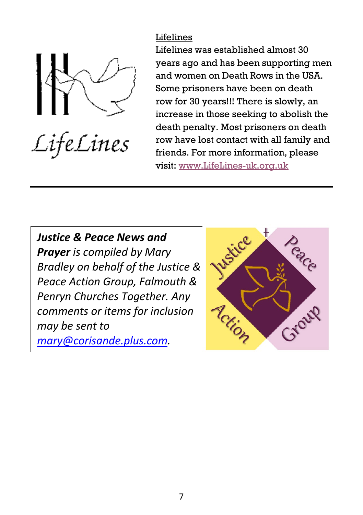

LifeLines

Lifelines Lifelines was established almost 30 years ago and has been supporting men and women on Death Rows in the USA. Some prisoners have been on death row for 30 years!!! There is slowly, an increase in those seeking to abolish the death penalty. Most prisoners on death row have lost contact with all family and friends. For more information, please visit[: www.LifeLines-uk.org.uk](http://www.lifelines-uk.org.uk/)

*Justice & Peace News and Prayer is compiled by Mary Bradley on behalf of the Justice & Peace Action Group, Falmouth & Penryn Churches Together. Any comments or items for inclusion may be sent to [mary@corisande.plus.com.](mailto:mary@corisande.plus.com)*